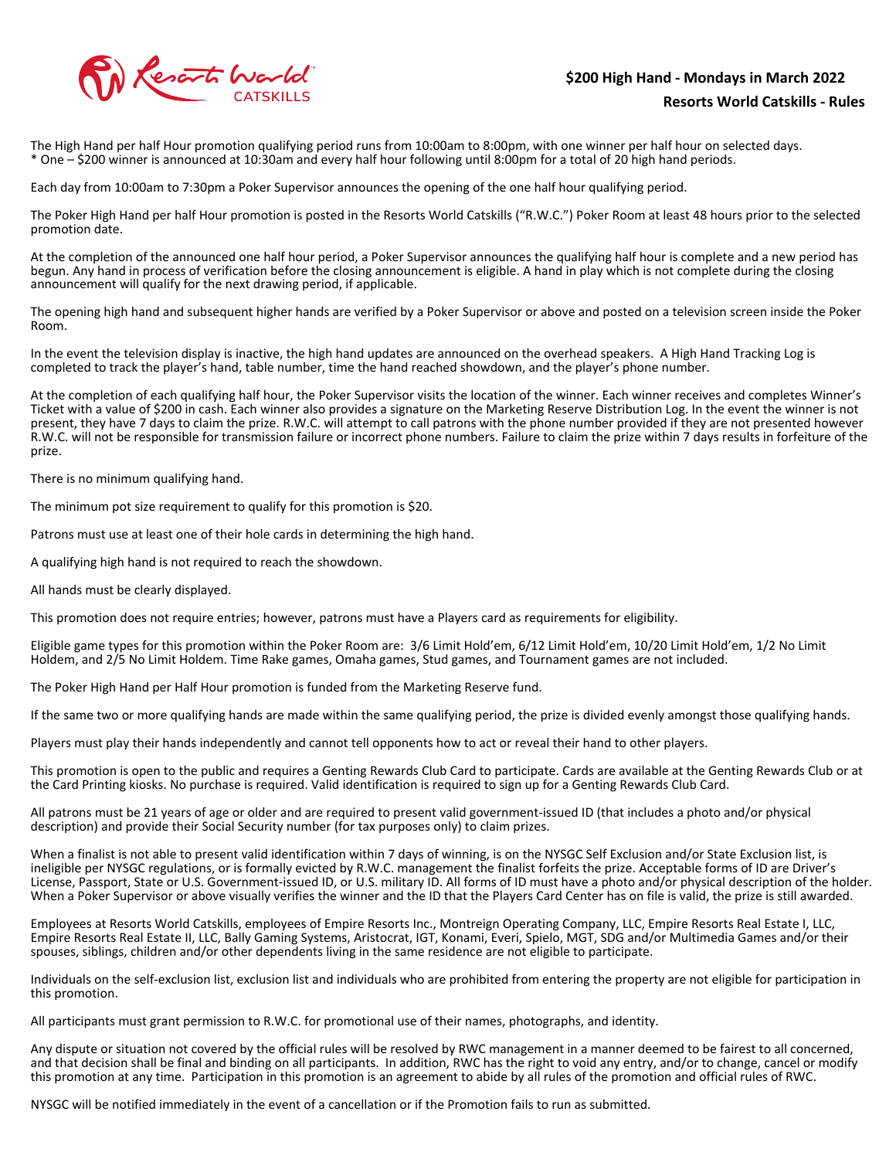# Reserts World

## **\$200 High Hand - Mondays in March 2022 Resorts World Catskills - Rules**

The High Hand per half Hour promotion qualifying period runs from 10:00am to 8:00pm, with one winner per half hour on selected days. \* One – \$200 winner is announced at 10:30am and every half hour following until 8:00pm for a total of 20 high hand periods.

Each day from 10:00am to 7:30pm a Poker Supervisor announces the opening of the one half hour qualifying period.

The Poker High Hand per half Hour promotion is posted in the Resorts World Catskills ("R.W.C.") Poker Room at least 48 hours prior to the selected promotion date.

At the completion of the announced one half hour period, a Poker Supervisor announces the qualifying half hour is complete and a new period has begun. Any hand in process of verification before the closing announcement is eligible. A hand in play which is not complete during the closing announcement will qualify for the next drawing period, if applicable.

The opening high hand and subsequent higher hands are verified by a Poker Supervisor or above and posted on a television screen inside the Poker Room.

In the event the television display is inactive, the high hand updates are announced on the overhead speakers. A High Hand Tracking Log is completed to track the player's hand, table number, time the hand reached showdown, and the player's phone number.

At the completion of each qualifying half hour, the Poker Supervisor visits the location of the winner. Each winner receives and completes Winner's Ticket with a value of \$200 in cash. Each winner also provides a signature on the Marketing Reserve Distribution Log. In the event the winner is not present, they have 7 days to claim the prize. R.W.C. will attempt to call patrons with the phone number provided if they are not presented however R.W.C. will not be responsible for transmission failure or incorrect phone numbers. Failure to claim the prize within 7 days results in forfeiture of the prize.

There is no minimum qualifying hand.

The minimum pot size requirement to qualify for this promotion is \$20.

Patrons must use at least one of their hole cards in determining the high hand.

A qualifying high hand is not required to reach the showdown.

All hands must be clearly displayed.

This promotion does not require entries; however, patrons must have a Players card as requirements for eligibility.

Eligible game types for this promotion within the Poker Room are: 3/6 Limit Hold'em, 6/12 Limit Hold'em, 10/20 Limit Hold'em, 1/2 No Limit Holdem, and 2/5 No Limit Holdem. Time Rake games, Omaha games, Stud games, and Tournament games are not included.

The Poker High Hand per Half Hour promotion is funded from the Marketing Reserve fund.

If the same two or more qualifying hands are made within the same qualifying period, the prize is divided evenly amongst those qualifying hands.

Players must play their hands independently and cannot tell opponents how to act or reveal their hand to other players.

This promotion is open to the public and requires a Genting Rewards Club Card to participate. Cards are available at the Genting Rewards Club or at the Card Printing kiosks. No purchase is required. Valid identification is required to sign up for a Genting Rewards Club Card.

All patrons must be 21 years of age or older and are required to present valid government-issued ID (that includes a photo and/or physical description) and provide their Social Security number (for tax purposes only) to claim prizes.

When a finalist is not able to present valid identification within 7 days of winning, is on the NYSGC Self Exclusion and/or State Exclusion list, is ineligible per NYSGC regulations, or is formally evicted by R.W.C. management the finalist forfeits the prize. Acceptable forms of ID are Driver's License, Passport, State or U.S. Government-issued ID, or U.S. military ID. All forms of ID must have a photo and/or physical description of the holder. When a Poker Supervisor or above visually verifies the winner and the ID that the Players Card Center has on file is valid, the prize is still awarded.

Employees at Resorts World Catskills, employees of Empire Resorts Inc., Montreign Operating Company, LLC, Empire Resorts Real Estate I, LLC, Empire Resorts Real Estate II, LLC, Bally Gaming Systems, Aristocrat, IGT, Konami, Everi, Spielo, MGT, SDG and/or Multimedia Games and/or their spouses, siblings, children and/or other dependents living in the same residence are not eligible to participate.

Individuals on the self-exclusion list, exclusion list and individuals who are prohibited from entering the property are not eligible for participation in this promotion.

All participants must grant permission to R.W.C. for promotional use of their names, photographs, and identity.

Any dispute or situation not covered by the official rules will be resolved by RWC management in a manner deemed to be fairest to all concerned, and that decision shall be final and binding on all participants. In addition, RWC has the right to void any entry, and/or to change, cancel or modify this promotion at any time. Participation in this promotion is an agreement to abide by all rules of the promotion and official rules of RWC.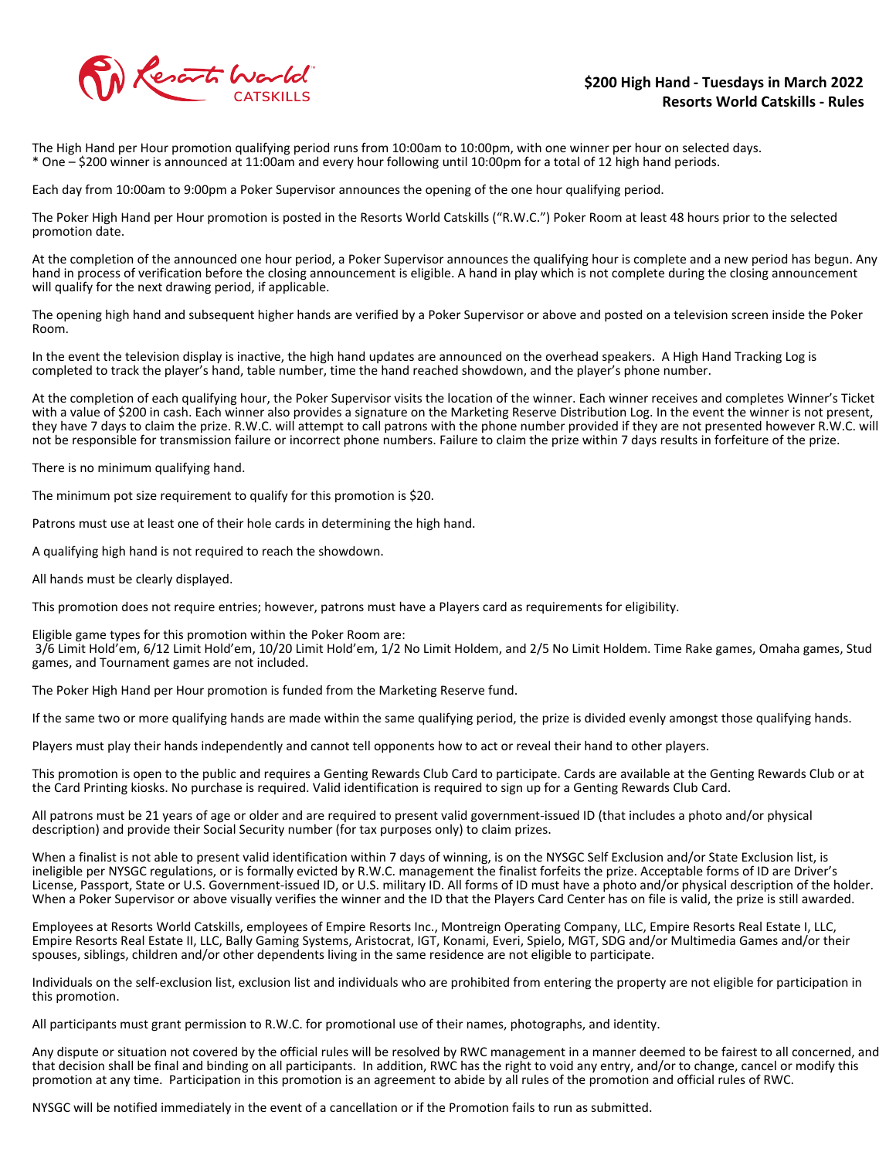

#### **\$200 High Hand - Tuesdays in March 2022 Resorts World Catskills - Rules**

The High Hand per Hour promotion qualifying period runs from 10:00am to 10:00pm, with one winner per hour on selected days. \* One – \$200 winner is announced at 11:00am and every hour following until 10:00pm for a total of 12 high hand periods.

Each day from 10:00am to 9:00pm a Poker Supervisor announces the opening of the one hour qualifying period.

The Poker High Hand per Hour promotion is posted in the Resorts World Catskills ("R.W.C.") Poker Room at least 48 hours prior to the selected promotion date.

At the completion of the announced one hour period, a Poker Supervisor announces the qualifying hour is complete and a new period has begun. Any hand in process of verification before the closing announcement is eligible. A hand in play which is not complete during the closing announcement will qualify for the next drawing period, if applicable.

The opening high hand and subsequent higher hands are verified by a Poker Supervisor or above and posted on a television screen inside the Poker Room.

In the event the television display is inactive, the high hand updates are announced on the overhead speakers. A High Hand Tracking Log is completed to track the player's hand, table number, time the hand reached showdown, and the player's phone number.

At the completion of each qualifying hour, the Poker Supervisor visits the location of the winner. Each winner receives and completes Winner's Ticket with a value of \$200 in cash. Each winner also provides a signature on the Marketing Reserve Distribution Log. In the event the winner is not present, they have 7 days to claim the prize. R.W.C. will attempt to call patrons with the phone number provided if they are not presented however R.W.C. will not be responsible for transmission failure or incorrect phone numbers. Failure to claim the prize within 7 days results in forfeiture of the prize.

There is no minimum qualifying hand.

The minimum pot size requirement to qualify for this promotion is \$20.

Patrons must use at least one of their hole cards in determining the high hand.

A qualifying high hand is not required to reach the showdown.

All hands must be clearly displayed.

This promotion does not require entries; however, patrons must have a Players card as requirements for eligibility.

Eligible game types for this promotion within the Poker Room are:

 3/6 Limit Hold'em, 6/12 Limit Hold'em, 10/20 Limit Hold'em, 1/2 No Limit Holdem, and 2/5 No Limit Holdem. Time Rake games, Omaha games, Stud games, and Tournament games are not included.

The Poker High Hand per Hour promotion is funded from the Marketing Reserve fund.

If the same two or more qualifying hands are made within the same qualifying period, the prize is divided evenly amongst those qualifying hands.

Players must play their hands independently and cannot tell opponents how to act or reveal their hand to other players.

This promotion is open to the public and requires a Genting Rewards Club Card to participate. Cards are available at the Genting Rewards Club or at the Card Printing kiosks. No purchase is required. Valid identification is required to sign up for a Genting Rewards Club Card.

All patrons must be 21 years of age or older and are required to present valid government-issued ID (that includes a photo and/or physical description) and provide their Social Security number (for tax purposes only) to claim prizes.

When a finalist is not able to present valid identification within 7 days of winning, is on the NYSGC Self Exclusion and/or State Exclusion list, is ineligible per NYSGC regulations, or is formally evicted by R.W.C. management the finalist forfeits the prize. Acceptable forms of ID are Driver's License, Passport, State or U.S. Government-issued ID, or U.S. military ID. All forms of ID must have a photo and/or physical description of the holder. When a Poker Supervisor or above visually verifies the winner and the ID that the Players Card Center has on file is valid, the prize is still awarded.

Employees at Resorts World Catskills, employees of Empire Resorts Inc., Montreign Operating Company, LLC, Empire Resorts Real Estate I, LLC, Empire Resorts Real Estate II, LLC, Bally Gaming Systems, Aristocrat, IGT, Konami, Everi, Spielo, MGT, SDG and/or Multimedia Games and/or their spouses, siblings, children and/or other dependents living in the same residence are not eligible to participate.

Individuals on the self-exclusion list, exclusion list and individuals who are prohibited from entering the property are not eligible for participation in this promotion.

All participants must grant permission to R.W.C. for promotional use of their names, photographs, and identity.

Any dispute or situation not covered by the official rules will be resolved by RWC management in a manner deemed to be fairest to all concerned, and that decision shall be final and binding on all participants. In addition, RWC has the right to void any entry, and/or to change, cancel or modify this promotion at any time. Participation in this promotion is an agreement to abide by all rules of the promotion and official rules of RWC.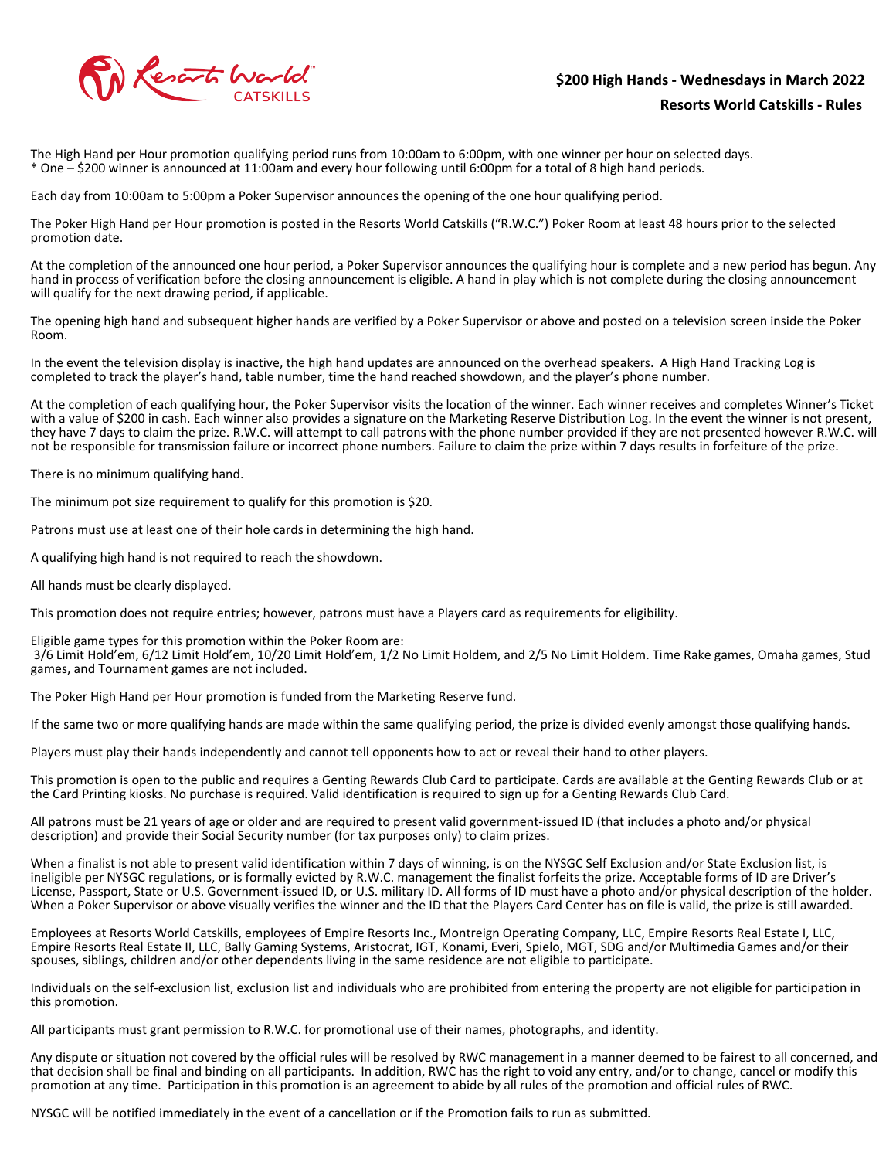

## **\$200 High Hands - Wednesdays in March 2022 Resorts World Catskills - Rules**

The High Hand per Hour promotion qualifying period runs from 10:00am to 6:00pm, with one winner per hour on selected days. \* One – \$200 winner is announced at 11:00am and every hour following until 6:00pm for a total of 8 high hand periods.

Each day from 10:00am to 5:00pm a Poker Supervisor announces the opening of the one hour qualifying period.

The Poker High Hand per Hour promotion is posted in the Resorts World Catskills ("R.W.C.") Poker Room at least 48 hours prior to the selected promotion date.

At the completion of the announced one hour period, a Poker Supervisor announces the qualifying hour is complete and a new period has begun. Any hand in process of verification before the closing announcement is eligible. A hand in play which is not complete during the closing announcement will qualify for the next drawing period, if applicable.

The opening high hand and subsequent higher hands are verified by a Poker Supervisor or above and posted on a television screen inside the Poker Room.

In the event the television display is inactive, the high hand updates are announced on the overhead speakers. A High Hand Tracking Log is completed to track the player's hand, table number, time the hand reached showdown, and the player's phone number.

At the completion of each qualifying hour, the Poker Supervisor visits the location of the winner. Each winner receives and completes Winner's Ticket with a value of \$200 in cash. Each winner also provides a signature on the Marketing Reserve Distribution Log. In the event the winner is not present, they have 7 days to claim the prize. R.W.C. will attempt to call patrons with the phone number provided if they are not presented however R.W.C. will not be responsible for transmission failure or incorrect phone numbers. Failure to claim the prize within 7 days results in forfeiture of the prize.

There is no minimum qualifying hand.

The minimum pot size requirement to qualify for this promotion is \$20.

Patrons must use at least one of their hole cards in determining the high hand.

A qualifying high hand is not required to reach the showdown.

All hands must be clearly displayed.

This promotion does not require entries; however, patrons must have a Players card as requirements for eligibility.

Eligible game types for this promotion within the Poker Room are:

 3/6 Limit Hold'em, 6/12 Limit Hold'em, 10/20 Limit Hold'em, 1/2 No Limit Holdem, and 2/5 No Limit Holdem. Time Rake games, Omaha games, Stud games, and Tournament games are not included.

The Poker High Hand per Hour promotion is funded from the Marketing Reserve fund.

If the same two or more qualifying hands are made within the same qualifying period, the prize is divided evenly amongst those qualifying hands.

Players must play their hands independently and cannot tell opponents how to act or reveal their hand to other players.

This promotion is open to the public and requires a Genting Rewards Club Card to participate. Cards are available at the Genting Rewards Club or at the Card Printing kiosks. No purchase is required. Valid identification is required to sign up for a Genting Rewards Club Card.

All patrons must be 21 years of age or older and are required to present valid government-issued ID (that includes a photo and/or physical description) and provide their Social Security number (for tax purposes only) to claim prizes.

When a finalist is not able to present valid identification within 7 days of winning, is on the NYSGC Self Exclusion and/or State Exclusion list, is ineligible per NYSGC regulations, or is formally evicted by R.W.C. management the finalist forfeits the prize. Acceptable forms of ID are Driver's License, Passport, State or U.S. Government-issued ID, or U.S. military ID. All forms of ID must have a photo and/or physical description of the holder. When a Poker Supervisor or above visually verifies the winner and the ID that the Players Card Center has on file is valid, the prize is still awarded.

Employees at Resorts World Catskills, employees of Empire Resorts Inc., Montreign Operating Company, LLC, Empire Resorts Real Estate I, LLC, Empire Resorts Real Estate II, LLC, Bally Gaming Systems, Aristocrat, IGT, Konami, Everi, Spielo, MGT, SDG and/or Multimedia Games and/or their spouses, siblings, children and/or other dependents living in the same residence are not eligible to participate.

Individuals on the self-exclusion list, exclusion list and individuals who are prohibited from entering the property are not eligible for participation in this promotion.

All participants must grant permission to R.W.C. for promotional use of their names, photographs, and identity.

Any dispute or situation not covered by the official rules will be resolved by RWC management in a manner deemed to be fairest to all concerned, and that decision shall be final and binding on all participants. In addition, RWC has the right to void any entry, and/or to change, cancel or modify this promotion at any time. Participation in this promotion is an agreement to abide by all rules of the promotion and official rules of RWC.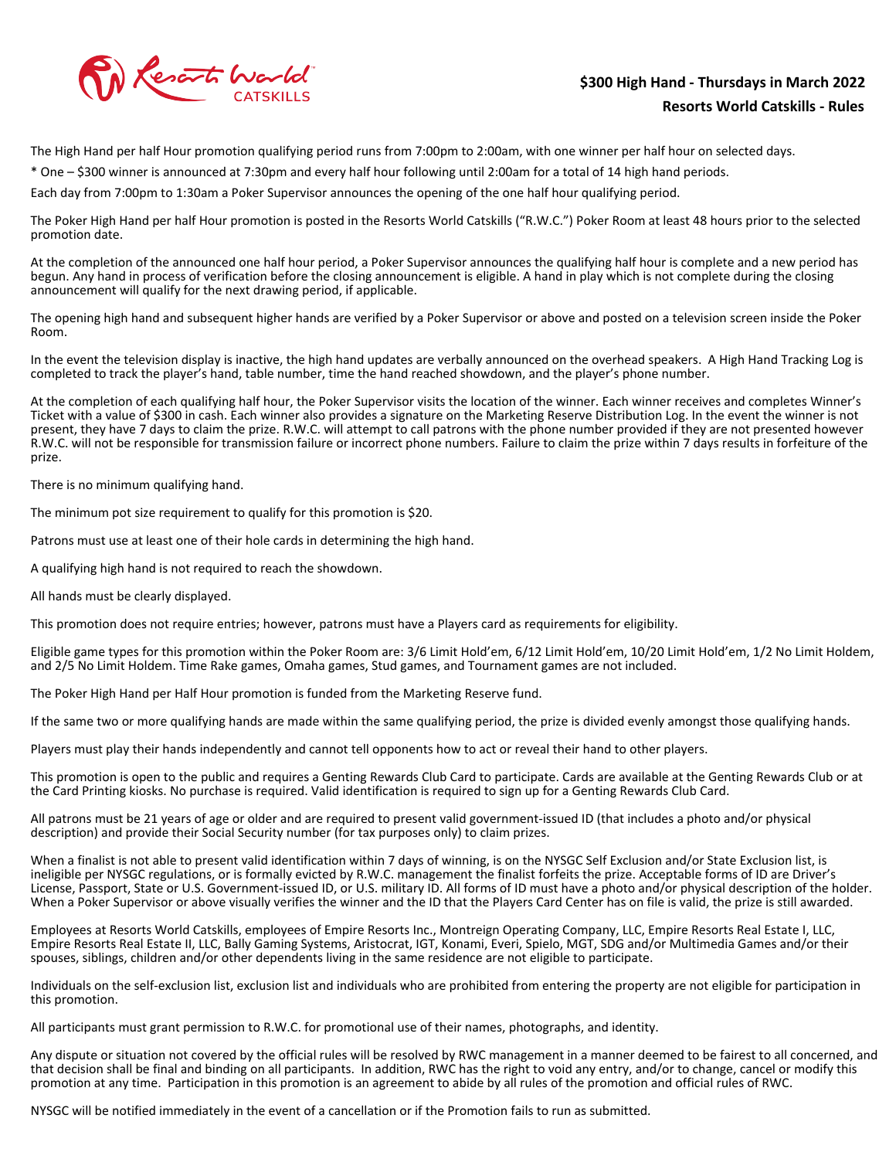

### **\$300 High Hand - Thursdays in March 2022 Resorts World Catskills - Rules**

The High Hand per half Hour promotion qualifying period runs from 7:00pm to 2:00am, with one winner per half hour on selected days.

\* One – \$300 winner is announced at 7:30pm and every half hour following until 2:00am for a total of 14 high hand periods.

Each day from 7:00pm to 1:30am a Poker Supervisor announces the opening of the one half hour qualifying period.

The Poker High Hand per half Hour promotion is posted in the Resorts World Catskills ("R.W.C.") Poker Room at least 48 hours prior to the selected promotion date.

At the completion of the announced one half hour period, a Poker Supervisor announces the qualifying half hour is complete and a new period has begun. Any hand in process of verification before the closing announcement is eligible. A hand in play which is not complete during the closing announcement will qualify for the next drawing period, if applicable.

The opening high hand and subsequent higher hands are verified by a Poker Supervisor or above and posted on a television screen inside the Poker Room.

In the event the television display is inactive, the high hand updates are verbally announced on the overhead speakers. A High Hand Tracking Log is completed to track the player's hand, table number, time the hand reached showdown, and the player's phone number.

At the completion of each qualifying half hour, the Poker Supervisor visits the location of the winner. Each winner receives and completes Winner's Ticket with a value of \$300 in cash. Each winner also provides a signature on the Marketing Reserve Distribution Log. In the event the winner is not present, they have 7 days to claim the prize. R.W.C. will attempt to call patrons with the phone number provided if they are not presented however R.W.C. will not be responsible for transmission failure or incorrect phone numbers. Failure to claim the prize within 7 days results in forfeiture of the prize.

There is no minimum qualifying hand.

The minimum pot size requirement to qualify for this promotion is \$20.

Patrons must use at least one of their hole cards in determining the high hand.

A qualifying high hand is not required to reach the showdown.

All hands must be clearly displayed.

This promotion does not require entries; however, patrons must have a Players card as requirements for eligibility.

Eligible game types for this promotion within the Poker Room are: 3/6 Limit Hold'em, 6/12 Limit Hold'em, 10/20 Limit Hold'em, 1/2 No Limit Holdem, and 2/5 No Limit Holdem. Time Rake games, Omaha games, Stud games, and Tournament games are not included.

The Poker High Hand per Half Hour promotion is funded from the Marketing Reserve fund.

If the same two or more qualifying hands are made within the same qualifying period, the prize is divided evenly amongst those qualifying hands.

Players must play their hands independently and cannot tell opponents how to act or reveal their hand to other players.

This promotion is open to the public and requires a Genting Rewards Club Card to participate. Cards are available at the Genting Rewards Club or at the Card Printing kiosks. No purchase is required. Valid identification is required to sign up for a Genting Rewards Club Card.

All patrons must be 21 years of age or older and are required to present valid government-issued ID (that includes a photo and/or physical description) and provide their Social Security number (for tax purposes only) to claim prizes.

When a finalist is not able to present valid identification within 7 days of winning, is on the NYSGC Self Exclusion and/or State Exclusion list, is ineligible per NYSGC regulations, or is formally evicted by R.W.C. management the finalist forfeits the prize. Acceptable forms of ID are Driver's License, Passport, State or U.S. Government-issued ID, or U.S. military ID. All forms of ID must have a photo and/or physical description of the holder. When a Poker Supervisor or above visually verifies the winner and the ID that the Players Card Center has on file is valid, the prize is still awarded.

Employees at Resorts World Catskills, employees of Empire Resorts Inc., Montreign Operating Company, LLC, Empire Resorts Real Estate I, LLC, Empire Resorts Real Estate II, LLC, Bally Gaming Systems, Aristocrat, IGT, Konami, Everi, Spielo, MGT, SDG and/or Multimedia Games and/or their spouses, siblings, children and/or other dependents living in the same residence are not eligible to participate.

Individuals on the self-exclusion list, exclusion list and individuals who are prohibited from entering the property are not eligible for participation in this promotion.

All participants must grant permission to R.W.C. for promotional use of their names, photographs, and identity.

Any dispute or situation not covered by the official rules will be resolved by RWC management in a manner deemed to be fairest to all concerned, and that decision shall be final and binding on all participants. In addition, RWC has the right to void any entry, and/or to change, cancel or modify this promotion at any time. Participation in this promotion is an agreement to abide by all rules of the promotion and official rules of RWC.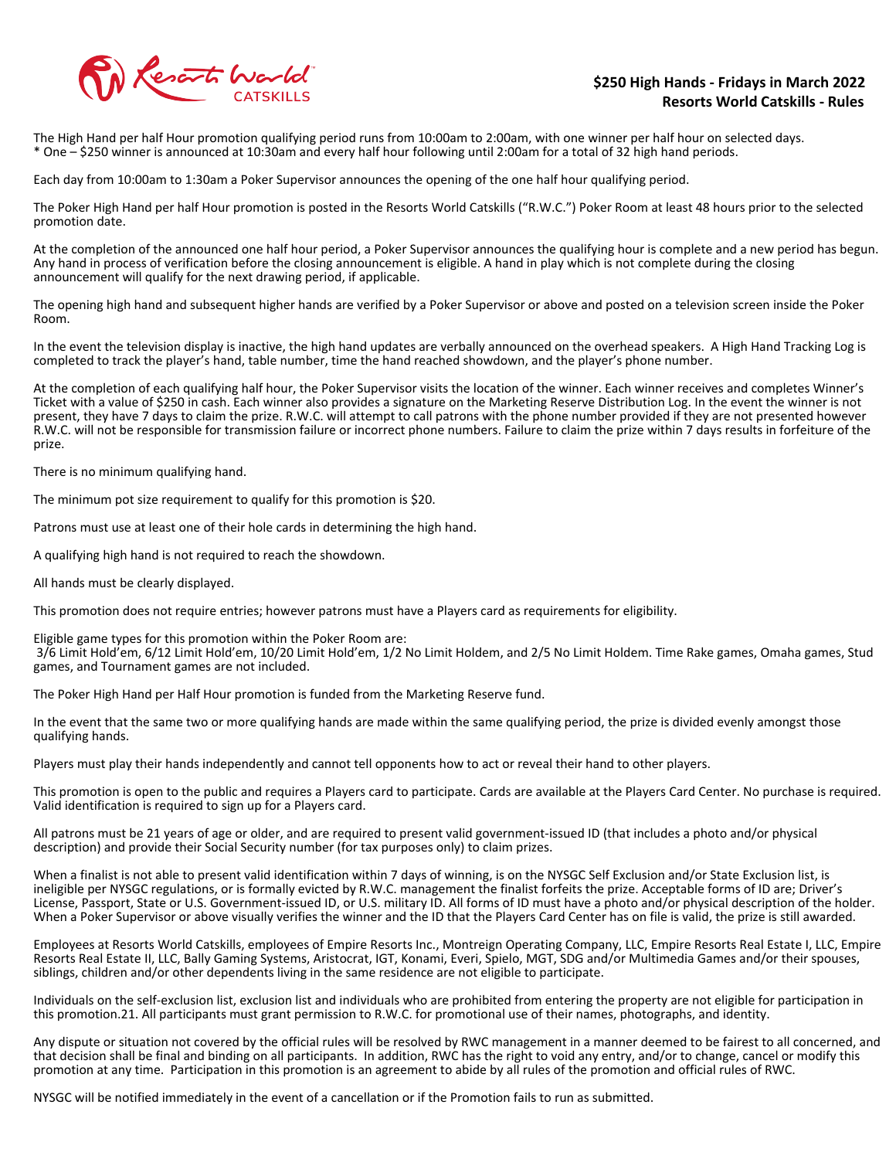

#### **\$250 High Hands - Fridays in March 2022 Resorts World Catskills - Rules**

The High Hand per half Hour promotion qualifying period runs from 10:00am to 2:00am, with one winner per half hour on selected days. \* One – \$250 winner is announced at 10:30am and every half hour following until 2:00am for a total of 32 high hand periods.

Each day from 10:00am to 1:30am a Poker Supervisor announces the opening of the one half hour qualifying period.

The Poker High Hand per half Hour promotion is posted in the Resorts World Catskills ("R.W.C.") Poker Room at least 48 hours prior to the selected promotion date.

At the completion of the announced one half hour period, a Poker Supervisor announces the qualifying hour is complete and a new period has begun. Any hand in process of verification before the closing announcement is eligible. A hand in play which is not complete during the closing announcement will qualify for the next drawing period, if applicable.

The opening high hand and subsequent higher hands are verified by a Poker Supervisor or above and posted on a television screen inside the Poker Room.

In the event the television display is inactive, the high hand updates are verbally announced on the overhead speakers. A High Hand Tracking Log is completed to track the player's hand, table number, time the hand reached showdown, and the player's phone number.

At the completion of each qualifying half hour, the Poker Supervisor visits the location of the winner. Each winner receives and completes Winner's Ticket with a value of \$250 in cash. Each winner also provides a signature on the Marketing Reserve Distribution Log. In the event the winner is not present, they have 7 days to claim the prize. R.W.C. will attempt to call patrons with the phone number provided if they are not presented however R.W.C. will not be responsible for transmission failure or incorrect phone numbers. Failure to claim the prize within 7 days results in forfeiture of the prize.

There is no minimum qualifying hand.

The minimum pot size requirement to qualify for this promotion is \$20.

Patrons must use at least one of their hole cards in determining the high hand.

A qualifying high hand is not required to reach the showdown.

All hands must be clearly displayed.

This promotion does not require entries; however patrons must have a Players card as requirements for eligibility.

Eligible game types for this promotion within the Poker Room are:

 3/6 Limit Hold'em, 6/12 Limit Hold'em, 10/20 Limit Hold'em, 1/2 No Limit Holdem, and 2/5 No Limit Holdem. Time Rake games, Omaha games, Stud games, and Tournament games are not included.

The Poker High Hand per Half Hour promotion is funded from the Marketing Reserve fund.

In the event that the same two or more qualifying hands are made within the same qualifying period, the prize is divided evenly amongst those qualifying hands.

Players must play their hands independently and cannot tell opponents how to act or reveal their hand to other players.

This promotion is open to the public and requires a Players card to participate. Cards are available at the Players Card Center. No purchase is required. Valid identification is required to sign up for a Players card.

All patrons must be 21 years of age or older, and are required to present valid government-issued ID (that includes a photo and/or physical description) and provide their Social Security number (for tax purposes only) to claim prizes.

When a finalist is not able to present valid identification within 7 days of winning, is on the NYSGC Self Exclusion and/or State Exclusion list, is ineligible per NYSGC regulations, or is formally evicted by R.W.C. management the finalist forfeits the prize. Acceptable forms of ID are; Driver's License, Passport, State or U.S. Government-issued ID, or U.S. military ID. All forms of ID must have a photo and/or physical description of the holder. When a Poker Supervisor or above visually verifies the winner and the ID that the Players Card Center has on file is valid, the prize is still awarded.

Employees at Resorts World Catskills, employees of Empire Resorts Inc., Montreign Operating Company, LLC, Empire Resorts Real Estate I, LLC, Empire Resorts Real Estate II, LLC, Bally Gaming Systems, Aristocrat, IGT, Konami, Everi, Spielo, MGT, SDG and/or Multimedia Games and/or their spouses, siblings, children and/or other dependents living in the same residence are not eligible to participate.

Individuals on the self-exclusion list, exclusion list and individuals who are prohibited from entering the property are not eligible for participation in this promotion.21. All participants must grant permission to R.W.C. for promotional use of their names, photographs, and identity.

Any dispute or situation not covered by the official rules will be resolved by RWC management in a manner deemed to be fairest to all concerned, and that decision shall be final and binding on all participants. In addition, RWC has the right to void any entry, and/or to change, cancel or modify this promotion at any time. Participation in this promotion is an agreement to abide by all rules of the promotion and official rules of RWC.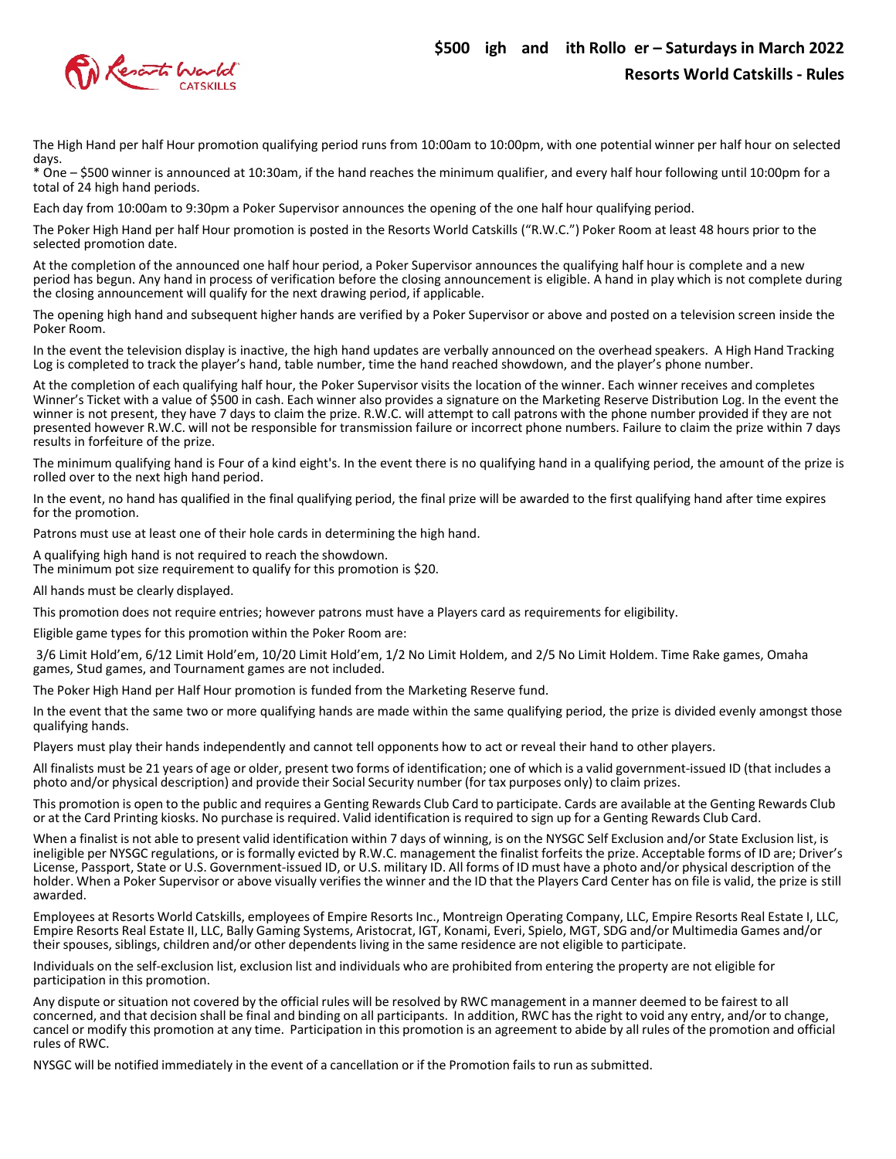

The High Hand per half Hour promotion qualifying period runs from 10:00am to 10:00pm, with one potential winner per half hour on selected days.

\* One – \$500 winner is announced at 10:30am, if the hand reaches the minimum qualifier, and every half hour following until 10:00pm for a total of 24 high hand periods.

Each day from 10:00am to 9:30pm a Poker Supervisor announces the opening of the one half hour qualifying period.

The Poker High Hand per half Hour promotion is posted in the Resorts World Catskills ("R.W.C.") Poker Room at least 48 hours prior to the selected promotion date.

At the completion of the announced one half hour period, a Poker Supervisor announces the qualifying half hour is complete and a new period has begun. Any hand in process of verification before the closing announcement is eligible. A hand in play which is not complete during the closing announcement will qualify for the next drawing period, if applicable.

The opening high hand and subsequent higher hands are verified by a Poker Supervisor or above and posted on a television screen inside the Poker Room.

In the event the television display is inactive, the high hand updates are verbally announced on the overhead speakers. A High Hand Tracking Log is completed to track the player's hand, table number, time the hand reached showdown, and the player's phone number.

At the completion of each qualifying half hour, the Poker Supervisor visits the location of the winner. Each winner receives and completes Winner's Ticket with a value of \$500 in cash. Each winner also provides a signature on the Marketing Reserve Distribution Log. In the event the winner is not present, they have 7 days to claim the prize. R.W.C. will attempt to call patrons with the phone number provided if they are not presented however R.W.C. will not be responsible for transmission failure or incorrect phone numbers. Failure to claim the prize within 7 days results in forfeiture of the prize.

The minimum qualifying hand is Four of a kind eight's. In the event there is no qualifying hand in a qualifying period, the amount of the prize is rolled over to the next high hand period.

In the event, no hand has qualified in the final qualifying period, the final prize will be awarded to the first qualifying hand after time expires for the promotion.

Patrons must use at least one of their hole cards in determining the high hand.

A qualifying high hand is not required to reach the showdown.

The minimum pot size requirement to qualify for this promotion is \$20.

All hands must be clearly displayed.

This promotion does not require entries; however patrons must have a Players card as requirements for eligibility.

Eligible game types for this promotion within the Poker Room are:

3/6 Limit Hold'em, 6/12 Limit Hold'em, 10/20 Limit Hold'em, 1/2 No Limit Holdem, and 2/5 No Limit Holdem. Time Rake games, Omaha games, Stud games, and Tournament games are not included.

The Poker High Hand per Half Hour promotion is funded from the Marketing Reserve fund.

In the event that the same two or more qualifying hands are made within the same qualifying period, the prize is divided evenly amongst those qualifying hands.

Players must play their hands independently and cannot tell opponents how to act or reveal their hand to other players.

All finalists must be 21 years of age or older, present two forms of identification; one of which is a valid government-issued ID (that includes a photo and/or physical description) and provide their Social Security number (for tax purposes only) to claim prizes.

This promotion is open to the public and requires a Genting Rewards Club Card to participate. Cards are available at the Genting Rewards Club or at the Card Printing kiosks. No purchase is required. Valid identification is required to sign up for a Genting Rewards Club Card.

When a finalist is not able to present valid identification within 7 days of winning, is on the NYSGC Self Exclusion and/or State Exclusion list, is ineligible per NYSGC regulations, or is formally evicted by R.W.C. management the finalist forfeits the prize. Acceptable forms of ID are; Driver's License, Passport, State or U.S. Government-issued ID, or U.S. military ID. All forms of ID must have a photo and/or physical description of the holder. When a Poker Supervisor or above visually verifies the winner and the ID that the Players Card Center has on file is valid, the prize is still awarded.

Employees at Resorts World Catskills, employees of Empire Resorts Inc., Montreign Operating Company, LLC, Empire Resorts Real Estate I, LLC, Empire Resorts Real Estate II, LLC, Bally Gaming Systems, Aristocrat, IGT, Konami, Everi, Spielo, MGT, SDG and/or Multimedia Games and/or their spouses, siblings, children and/or other dependents living in the same residence are not eligible to participate.

Individuals on the self-exclusion list, exclusion list and individuals who are prohibited from entering the property are not eligible for participation in this promotion.

Any dispute or situation not covered by the official rules will be resolved by RWC management in a manner deemed to be fairest to all concerned, and that decision shall be final and binding on all participants. In addition, RWC has the right to void any entry, and/or to change, cancel or modify this promotion at any time. Participation in this promotion is an agreement to abide by all rules of the promotion and official rules of RWC.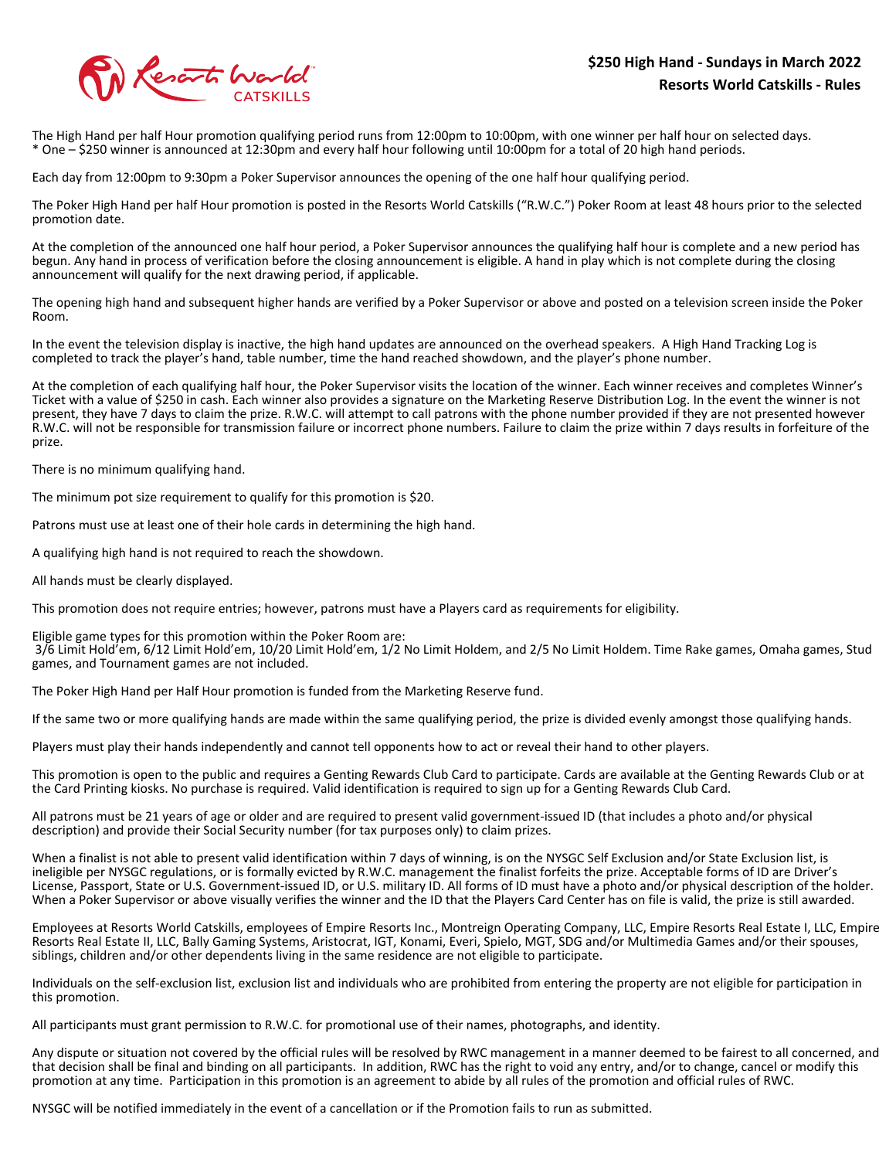

The High Hand per half Hour promotion qualifying period runs from 12:00pm to 10:00pm, with one winner per half hour on selected days. \* One – \$250 winner is announced at 12:30pm and every half hour following until 10:00pm for a total of 20 high hand periods.

Each day from 12:00pm to 9:30pm a Poker Supervisor announces the opening of the one half hour qualifying period.

The Poker High Hand per half Hour promotion is posted in the Resorts World Catskills ("R.W.C.") Poker Room at least 48 hours prior to the selected promotion date.

At the completion of the announced one half hour period, a Poker Supervisor announces the qualifying half hour is complete and a new period has begun. Any hand in process of verification before the closing announcement is eligible. A hand in play which is not complete during the closing announcement will qualify for the next drawing period, if applicable.

The opening high hand and subsequent higher hands are verified by a Poker Supervisor or above and posted on a television screen inside the Poker Room.

In the event the television display is inactive, the high hand updates are announced on the overhead speakers. A High Hand Tracking Log is completed to track the player's hand, table number, time the hand reached showdown, and the player's phone number.

At the completion of each qualifying half hour, the Poker Supervisor visits the location of the winner. Each winner receives and completes Winner's Ticket with a value of \$250 in cash. Each winner also provides a signature on the Marketing Reserve Distribution Log. In the event the winner is not present, they have 7 days to claim the prize. R.W.C. will attempt to call patrons with the phone number provided if they are not presented however R.W.C. will not be responsible for transmission failure or incorrect phone numbers. Failure to claim the prize within 7 days results in forfeiture of the prize.

There is no minimum qualifying hand.

The minimum pot size requirement to qualify for this promotion is \$20.

Patrons must use at least one of their hole cards in determining the high hand.

A qualifying high hand is not required to reach the showdown.

All hands must be clearly displayed.

This promotion does not require entries; however, patrons must have a Players card as requirements for eligibility.

Eligible game types for this promotion within the Poker Room are:

 3/6 Limit Hold'em, 6/12 Limit Hold'em, 10/20 Limit Hold'em, 1/2 No Limit Holdem, and 2/5 No Limit Holdem. Time Rake games, Omaha games, Stud games, and Tournament games are not included.

The Poker High Hand per Half Hour promotion is funded from the Marketing Reserve fund.

If the same two or more qualifying hands are made within the same qualifying period, the prize is divided evenly amongst those qualifying hands.

Players must play their hands independently and cannot tell opponents how to act or reveal their hand to other players.

This promotion is open to the public and requires a Genting Rewards Club Card to participate. Cards are available at the Genting Rewards Club or at the Card Printing kiosks. No purchase is required. Valid identification is required to sign up for a Genting Rewards Club Card.

All patrons must be 21 years of age or older and are required to present valid government-issued ID (that includes a photo and/or physical description) and provide their Social Security number (for tax purposes only) to claim prizes.

When a finalist is not able to present valid identification within 7 days of winning, is on the NYSGC Self Exclusion and/or State Exclusion list, is ineligible per NYSGC regulations, or is formally evicted by R.W.C. management the finalist forfeits the prize. Acceptable forms of ID are Driver's License, Passport, State or U.S. Government-issued ID, or U.S. military ID. All forms of ID must have a photo and/or physical description of the holder. When a Poker Supervisor or above visually verifies the winner and the ID that the Players Card Center has on file is valid, the prize is still awarded.

Employees at Resorts World Catskills, employees of Empire Resorts Inc., Montreign Operating Company, LLC, Empire Resorts Real Estate I, LLC, Empire Resorts Real Estate II, LLC, Bally Gaming Systems, Aristocrat, IGT, Konami, Everi, Spielo, MGT, SDG and/or Multimedia Games and/or their spouses, siblings, children and/or other dependents living in the same residence are not eligible to participate.

Individuals on the self-exclusion list, exclusion list and individuals who are prohibited from entering the property are not eligible for participation in this promotion.

All participants must grant permission to R.W.C. for promotional use of their names, photographs, and identity.

Any dispute or situation not covered by the official rules will be resolved by RWC management in a manner deemed to be fairest to all concerned, and that decision shall be final and binding on all participants. In addition, RWC has the right to void any entry, and/or to change, cancel or modify this promotion at any time. Participation in this promotion is an agreement to abide by all rules of the promotion and official rules of RWC.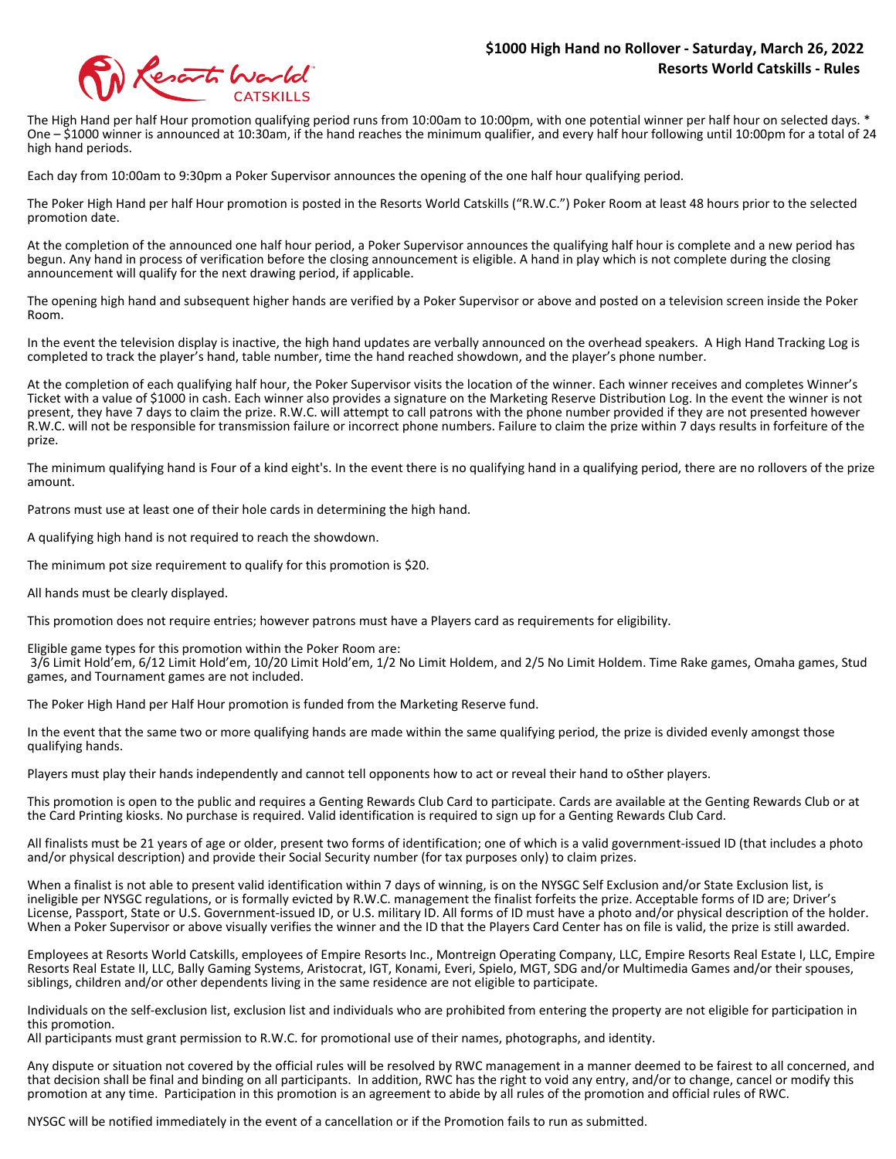

The High Hand per half Hour promotion qualifying period runs from 10:00am to 10:00pm, with one potential winner per half hour on selected days. <sup>\*</sup> One – \$1000 winner is announced at 10:30am, if the hand reaches the minimum qualifier, and every half hour following until 10:00pm for a total of 24 high hand periods.

Each day from 10:00am to 9:30pm a Poker Supervisor announces the opening of the one half hour qualifying period.

The Poker High Hand per half Hour promotion is posted in the Resorts World Catskills ("R.W.C.") Poker Room at least 48 hours prior to the selected promotion date.

At the completion of the announced one half hour period, a Poker Supervisor announces the qualifying half hour is complete and a new period has begun. Any hand in process of verification before the closing announcement is eligible. A hand in play which is not complete during the closing announcement will qualify for the next drawing period, if applicable.

The opening high hand and subsequent higher hands are verified by a Poker Supervisor or above and posted on a television screen inside the Poker Room.

In the event the television display is inactive, the high hand updates are verbally announced on the overhead speakers. A High Hand Tracking Log is completed to track the player's hand, table number, time the hand reached showdown, and the player's phone number.

At the completion of each qualifying half hour, the Poker Supervisor visits the location of the winner. Each winner receives and completes Winner's Ticket with a value of \$1000 in cash. Each winner also provides a signature on the Marketing Reserve Distribution Log. In the event the winner is not present, they have 7 days to claim the prize. R.W.C. will attempt to call patrons with the phone number provided if they are not presented however R.W.C. will not be responsible for transmission failure or incorrect phone numbers. Failure to claim the prize within 7 days results in forfeiture of the prize.

The minimum qualifying hand is Four of a kind eight's. In the event there is no qualifying hand in a qualifying period, there are no rollovers of the prize amount.

Patrons must use at least one of their hole cards in determining the high hand.

A qualifying high hand is not required to reach the showdown.

The minimum pot size requirement to qualify for this promotion is \$20.

All hands must be clearly displayed.

This promotion does not require entries; however patrons must have a Players card as requirements for eligibility.

Eligible game types for this promotion within the Poker Room are: 3/6 Limit Hold'em, 6/12 Limit Hold'em, 10/20 Limit Hold'em, 1/2 No Limit Holdem, and 2/5 No Limit Holdem. Time Rake games, Omaha games, Stud games, and Tournament games are not included.

The Poker High Hand per Half Hour promotion is funded from the Marketing Reserve fund.

In the event that the same two or more qualifying hands are made within the same qualifying period, the prize is divided evenly amongst those qualifying hands.

Players must play their hands independently and cannot tell opponents how to act or reveal their hand to oSther players.

This promotion is open to the public and requires a Genting Rewards Club Card to participate. Cards are available at the Genting Rewards Club or at the Card Printing kiosks. No purchase is required. Valid identification is required to sign up for a Genting Rewards Club Card.

All finalists must be 21 years of age or older, present two forms of identification; one of which is a valid government-issued ID (that includes a photo and/or physical description) and provide their Social Security number (for tax purposes only) to claim prizes.

When a finalist is not able to present valid identification within 7 days of winning, is on the NYSGC Self Exclusion and/or State Exclusion list, is ineligible per NYSGC regulations, or is formally evicted by R.W.C. management the finalist forfeits the prize. Acceptable forms of ID are; Driver's License, Passport, State or U.S. Government-issued ID, or U.S. military ID. All forms of ID must have a photo and/or physical description of the holder. When a Poker Supervisor or above visually verifies the winner and the ID that the Players Card Center has on file is valid, the prize is still awarded.

Employees at Resorts World Catskills, employees of Empire Resorts Inc., Montreign Operating Company, LLC, Empire Resorts Real Estate I, LLC, Empire Resorts Real Estate II, LLC, Bally Gaming Systems, Aristocrat, IGT, Konami, Everi, Spielo, MGT, SDG and/or Multimedia Games and/or their spouses, siblings, children and/or other dependents living in the same residence are not eligible to participate.

Individuals on the self-exclusion list, exclusion list and individuals who are prohibited from entering the property are not eligible for participation in this promotion.

All participants must grant permission to R.W.C. for promotional use of their names, photographs, and identity.

Any dispute or situation not covered by the official rules will be resolved by RWC management in a manner deemed to be fairest to all concerned, and that decision shall be final and binding on all participants. In addition, RWC has the right to void any entry, and/or to change, cancel or modify this promotion at any time. Participation in this promotion is an agreement to abide by all rules of the promotion and official rules of RWC.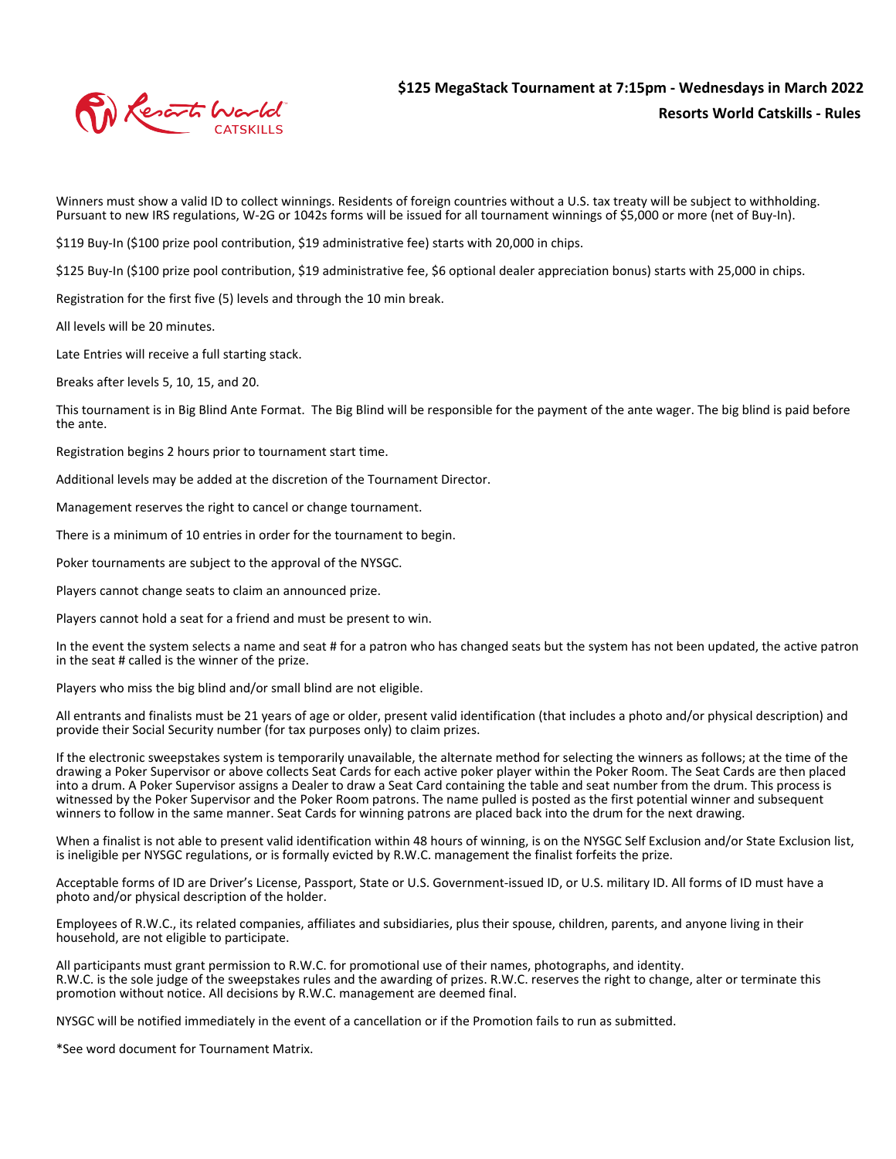

Winners must show a valid ID to collect winnings. Residents of foreign countries without a U.S. tax treaty will be subject to withholding. Pursuant to new IRS regulations, W-2G or 1042s forms will be issued for all tournament winnings of \$5,000 or more (net of Buy-In).

\$119 Buy-In (\$100 prize pool contribution, \$19 administrative fee) starts with 20,000 in chips.

\$125 Buy-In (\$100 prize pool contribution, \$19 administrative fee, \$6 optional dealer appreciation bonus) starts with 25,000 in chips.

Registration for the first five (5) levels and through the 10 min break.

All levels will be 20 minutes.

Late Entries will receive a full starting stack.

Breaks after levels 5, 10, 15, and 20.

This tournament is in Big Blind Ante Format. The Big Blind will be responsible for the payment of the ante wager. The big blind is paid before the ante.

Registration begins 2 hours prior to tournament start time.

Additional levels may be added at the discretion of the Tournament Director.

Management reserves the right to cancel or change tournament.

There is a minimum of 10 entries in order for the tournament to begin.

Poker tournaments are subject to the approval of the NYSGC.

Players cannot change seats to claim an announced prize.

Players cannot hold a seat for a friend and must be present to win.

In the event the system selects a name and seat # for a patron who has changed seats but the system has not been updated, the active patron in the seat # called is the winner of the prize.

Players who miss the big blind and/or small blind are not eligible.

All entrants and finalists must be 21 years of age or older, present valid identification (that includes a photo and/or physical description) and provide their Social Security number (for tax purposes only) to claim prizes.

If the electronic sweepstakes system is temporarily unavailable, the alternate method for selecting the winners as follows; at the time of the drawing a Poker Supervisor or above collects Seat Cards for each active poker player within the Poker Room. The Seat Cards are then placed into a drum. A Poker Supervisor assigns a Dealer to draw a Seat Card containing the table and seat number from the drum. This process is witnessed by the Poker Supervisor and the Poker Room patrons. The name pulled is posted as the first potential winner and subsequent winners to follow in the same manner. Seat Cards for winning patrons are placed back into the drum for the next drawing.

When a finalist is not able to present valid identification within 48 hours of winning, is on the NYSGC Self Exclusion and/or State Exclusion list, is ineligible per NYSGC regulations, or is formally evicted by R.W.C. management the finalist forfeits the prize.

Acceptable forms of ID are Driver's License, Passport, State or U.S. Government-issued ID, or U.S. military ID. All forms of ID must have a photo and/or physical description of the holder.

Employees of R.W.C., its related companies, affiliates and subsidiaries, plus their spouse, children, parents, and anyone living in their household, are not eligible to participate.

All participants must grant permission to R.W.C. for promotional use of their names, photographs, and identity. R.W.C. is the sole judge of the sweepstakes rules and the awarding of prizes. R.W.C. reserves the right to change, alter or terminate this promotion without notice. All decisions by R.W.C. management are deemed final.

NYSGC will be notified immediately in the event of a cancellation or if the Promotion fails to run as submitted.

\*See word document for Tournament Matrix.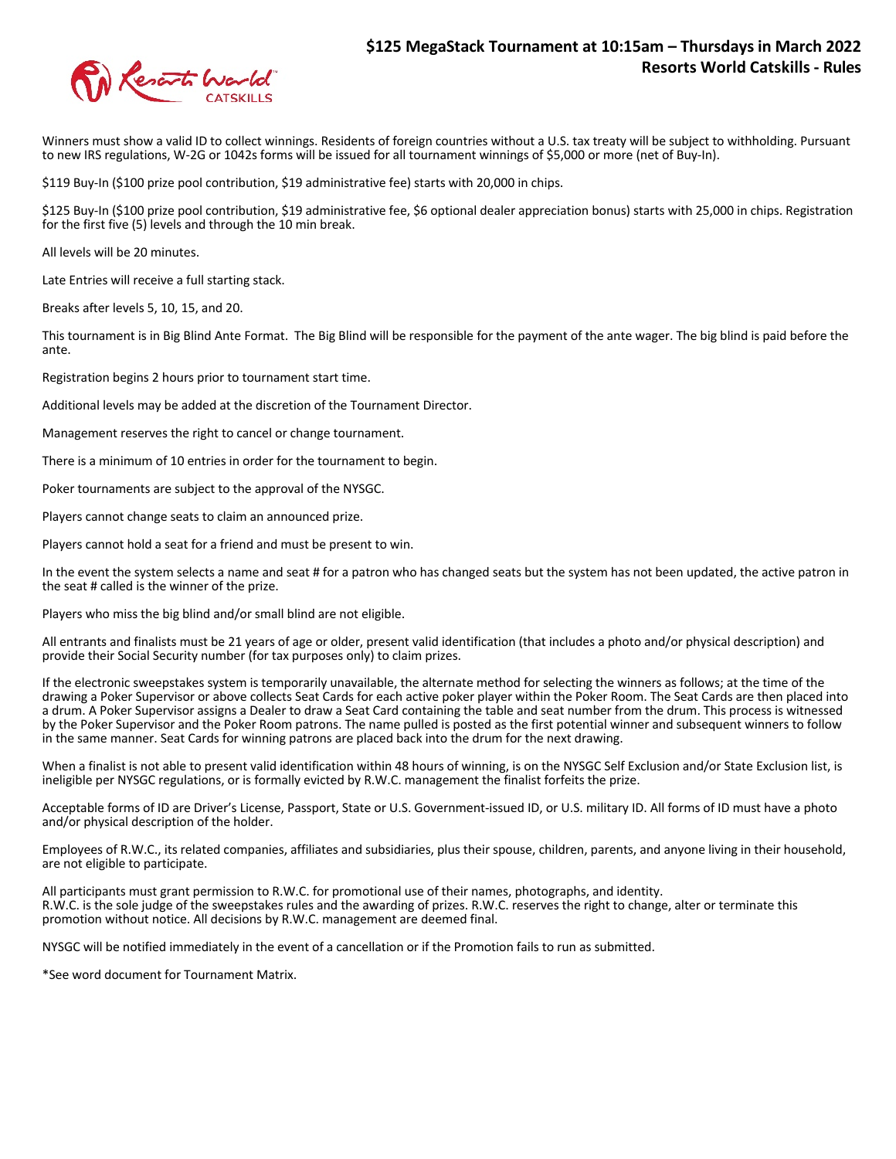

Winners must show a valid ID to collect winnings. Residents of foreign countries without a U.S. tax treaty will be subject to withholding. Pursuant to new IRS regulations, W-2G or 1042s forms will be issued for all tournament winnings of \$5,000 or more (net of Buy-In).

\$119 Buy-In (\$100 prize pool contribution, \$19 administrative fee) starts with 20,000 in chips.

\$125 Buy-In (\$100 prize pool contribution, \$19 administrative fee, \$6 optional dealer appreciation bonus) starts with 25,000 in chips. Registration for the first five (5) levels and through the 10 min break.

All levels will be 20 minutes.

Late Entries will receive a full starting stack.

Breaks after levels 5, 10, 15, and 20.

This tournament is in Big Blind Ante Format. The Big Blind will be responsible for the payment of the ante wager. The big blind is paid before the ante.

Registration begins 2 hours prior to tournament start time.

Additional levels may be added at the discretion of the Tournament Director.

Management reserves the right to cancel or change tournament.

There is a minimum of 10 entries in order for the tournament to begin.

Poker tournaments are subject to the approval of the NYSGC.

Players cannot change seats to claim an announced prize.

Players cannot hold a seat for a friend and must be present to win.

In the event the system selects a name and seat # for a patron who has changed seats but the system has not been updated, the active patron in the seat # called is the winner of the prize.

Players who miss the big blind and/or small blind are not eligible.

All entrants and finalists must be 21 years of age or older, present valid identification (that includes a photo and/or physical description) and provide their Social Security number (for tax purposes only) to claim prizes.

If the electronic sweepstakes system is temporarily unavailable, the alternate method for selecting the winners as follows; at the time of the drawing a Poker Supervisor or above collects Seat Cards for each active poker player within the Poker Room. The Seat Cards are then placed into a drum. A Poker Supervisor assigns a Dealer to draw a Seat Card containing the table and seat number from the drum. This process is witnessed by the Poker Supervisor and the Poker Room patrons. The name pulled is posted as the first potential winner and subsequent winners to follow in the same manner. Seat Cards for winning patrons are placed back into the drum for the next drawing.

When a finalist is not able to present valid identification within 48 hours of winning, is on the NYSGC Self Exclusion and/or State Exclusion list, is ineligible per NYSGC regulations, or is formally evicted by R.W.C. management the finalist forfeits the prize.

Acceptable forms of ID are Driver's License, Passport, State or U.S. Government-issued ID, or U.S. military ID. All forms of ID must have a photo and/or physical description of the holder.

Employees of R.W.C., its related companies, affiliates and subsidiaries, plus their spouse, children, parents, and anyone living in their household, are not eligible to participate.

All participants must grant permission to R.W.C. for promotional use of their names, photographs, and identity. R.W.C. is the sole judge of the sweepstakes rules and the awarding of prizes. R.W.C. reserves the right to change, alter or terminate this promotion without notice. All decisions by R.W.C. management are deemed final.

NYSGC will be notified immediately in the event of a cancellation or if the Promotion fails to run as submitted.

\*See word document for Tournament Matrix.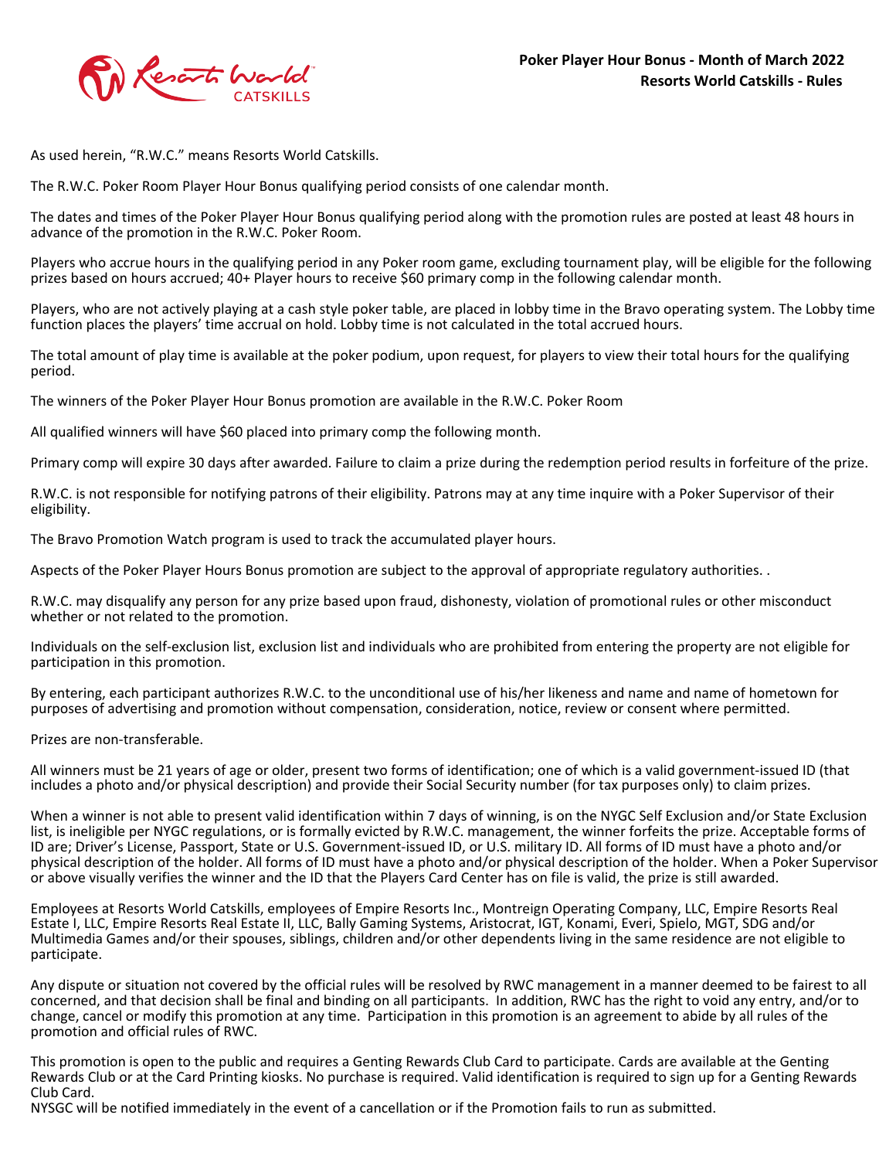

As used herein, "R.W.C." means Resorts World Catskills.

The R.W.C. Poker Room Player Hour Bonus qualifying period consists of one calendar month.

The dates and times of the Poker Player Hour Bonus qualifying period along with the promotion rules are posted at least 48 hours in advance of the promotion in the R.W.C. Poker Room.

Players who accrue hours in the qualifying period in any Poker room game, excluding tournament play, will be eligible for the following prizes based on hours accrued; 40+ Player hours to receive \$60 primary comp in the following calendar month.

Players, who are not actively playing at a cash style poker table, are placed in lobby time in the Bravo operating system. The Lobby time function places the players' time accrual on hold. Lobby time is not calculated in the total accrued hours.

The total amount of play time is available at the poker podium, upon request, for players to view their total hours for the qualifying period.

The winners of the Poker Player Hour Bonus promotion are available in the R.W.C. Poker Room

All qualified winners will have \$60 placed into primary comp the following month.

Primary comp will expire 30 days after awarded. Failure to claim a prize during the redemption period results in forfeiture of the prize.

R.W.C. is not responsible for notifying patrons of their eligibility. Patrons may at any time inquire with a Poker Supervisor of their eligibility.

The Bravo Promotion Watch program is used to track the accumulated player hours.

Aspects of the Poker Player Hours Bonus promotion are subject to the approval of appropriate regulatory authorities. .

R.W.C. may disqualify any person for any prize based upon fraud, dishonesty, violation of promotional rules or other misconduct whether or not related to the promotion.

Individuals on the self-exclusion list, exclusion list and individuals who are prohibited from entering the property are not eligible for participation in this promotion.

By entering, each participant authorizes R.W.C. to the unconditional use of his/her likeness and name and name of hometown for purposes of advertising and promotion without compensation, consideration, notice, review or consent where permitted.

Prizes are non-transferable.

All winners must be 21 years of age or older, present two forms of identification; one of which is a valid government-issued ID (that includes a photo and/or physical description) and provide their Social Security number (for tax purposes only) to claim prizes.

When a winner is not able to present valid identification within 7 days of winning, is on the NYGC Self Exclusion and/or State Exclusion list, is ineligible per NYGC regulations, or is formally evicted by R.W.C. management, the winner forfeits the prize. Acceptable forms of ID are; Driver's License, Passport, State or U.S. Government-issued ID, or U.S. military ID. All forms of ID must have a photo and/or physical description of the holder. All forms of ID must have a photo and/or physical description of the holder. When a Poker Supervisor or above visually verifies the winner and the ID that the Players Card Center has on file is valid, the prize is still awarded.

Employees at Resorts World Catskills, employees of Empire Resorts Inc., Montreign Operating Company, LLC, Empire Resorts Real Estate I, LLC, Empire Resorts Real Estate II, LLC, Bally Gaming Systems, Aristocrat, IGT, Konami, Everi, Spielo, MGT, SDG and/or Multimedia Games and/or their spouses, siblings, children and/or other dependents living in the same residence are not eligible to participate.

Any dispute or situation not covered by the official rules will be resolved by RWC management in a manner deemed to be fairest to all concerned, and that decision shall be final and binding on all participants. In addition, RWC has the right to void any entry, and/or to change, cancel or modify this promotion at any time. Participation in this promotion is an agreement to abide by all rules of the promotion and official rules of RWC.

This promotion is open to the public and requires a Genting Rewards Club Card to participate. Cards are available at the Genting Rewards Club or at the Card Printing kiosks. No purchase is required. Valid identification is required to sign up for a Genting Rewards Club Card.